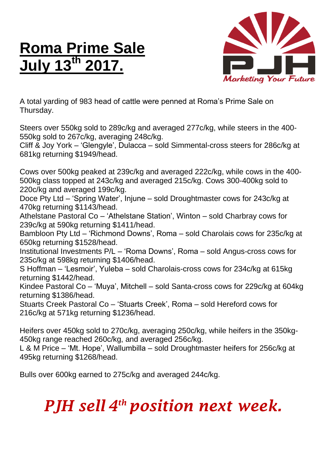## **Roma Prime Sale July 13 th 2017.**



A total yarding of 983 head of cattle were penned at Roma's Prime Sale on Thursday.

Steers over 550kg sold to 289c/kg and averaged 277c/kg, while steers in the 400- 550kg sold to 267c/kg, averaging 248c/kg.

Cliff & Joy York – 'Glengyle', Dulacca – sold Simmental-cross steers for 286c/kg at 681kg returning \$1949/head.

Cows over 500kg peaked at 239c/kg and averaged 222c/kg, while cows in the 400- 500kg class topped at 243c/kg and averaged 215c/kg. Cows 300-400kg sold to 220c/kg and averaged 199c/kg.

Doce Pty Ltd – 'Spring Water', Injune – sold Droughtmaster cows for 243c/kg at 470kg returning \$1143/head.

Athelstane Pastoral Co – 'Athelstane Station', Winton – sold Charbray cows for 239c/kg at 590kg returning \$1411/head.

Bambloon Pty Ltd – 'Richmond Downs', Roma – sold Charolais cows for 235c/kg at 650kg returning \$1528/head.

Institutional Investments P/L – 'Roma Downs', Roma – sold Angus-cross cows for 235c/kg at 598kg returning \$1406/head.

S Hoffman – 'Lesmoir', Yuleba – sold Charolais-cross cows for 234c/kg at 615kg returning \$1442/head.

Kindee Pastoral Co – 'Muya', Mitchell – sold Santa-cross cows for 229c/kg at 604kg returning \$1386/head.

Stuarts Creek Pastoral Co – 'Stuarts Creek', Roma – sold Hereford cows for 216c/kg at 571kg returning \$1236/head.

Heifers over 450kg sold to 270c/kg, averaging 250c/kg, while heifers in the 350kg-450kg range reached 260c/kg, and averaged 256c/kg.

L & M Price – 'Mt. Hope', Wallumbilla – sold Droughtmaster heifers for 256c/kg at 495kg returning \$1268/head.

Bulls over 600kg earned to 275c/kg and averaged 244c/kg.

## *PJH sell 4 th position next week.*